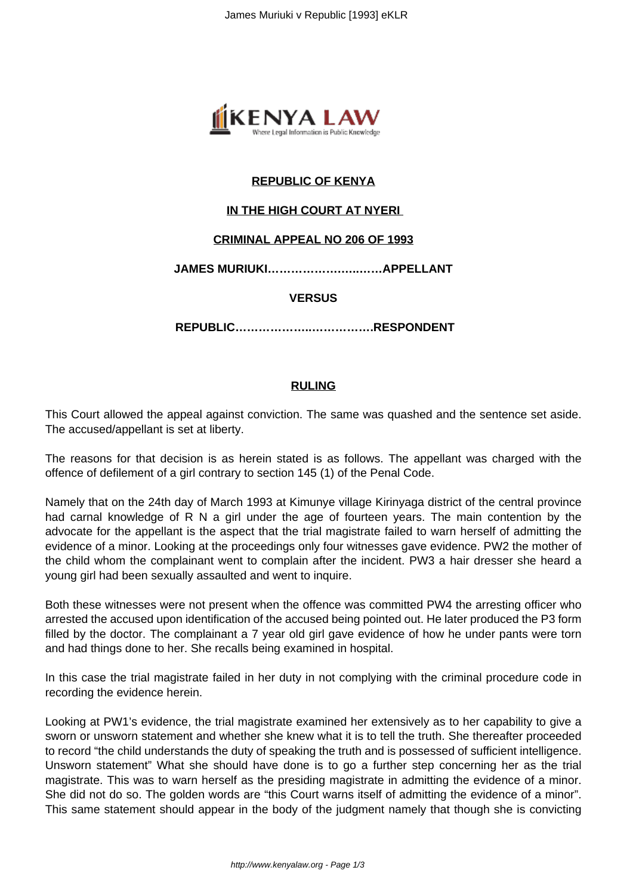

# **REPUBLIC OF KENYA**

## **IN THE HIGH COURT AT NYERI**

### **CRIMINAL APPEAL NO 206 OF 1993**

**JAMES MURIUKI……………….…..……APPELLANT**

### **VERSUS**

**REPUBLIC………………..…………….RESPONDENT**

### **RULING**

This Court allowed the appeal against conviction. The same was quashed and the sentence set aside. The accused/appellant is set at liberty.

The reasons for that decision is as herein stated is as follows. The appellant was charged with the offence of defilement of a girl contrary to section 145 (1) of the Penal Code.

Namely that on the 24th day of March 1993 at Kimunye village Kirinyaga district of the central province had carnal knowledge of R N a girl under the age of fourteen years. The main contention by the advocate for the appellant is the aspect that the trial magistrate failed to warn herself of admitting the evidence of a minor. Looking at the proceedings only four witnesses gave evidence. PW2 the mother of the child whom the complainant went to complain after the incident. PW3 a hair dresser she heard a young girl had been sexually assaulted and went to inquire.

Both these witnesses were not present when the offence was committed PW4 the arresting officer who arrested the accused upon identification of the accused being pointed out. He later produced the P3 form filled by the doctor. The complainant a 7 year old girl gave evidence of how he under pants were torn and had things done to her. She recalls being examined in hospital.

In this case the trial magistrate failed in her duty in not complying with the criminal procedure code in recording the evidence herein.

Looking at PW1's evidence, the trial magistrate examined her extensively as to her capability to give a sworn or unsworn statement and whether she knew what it is to tell the truth. She thereafter proceeded to record "the child understands the duty of speaking the truth and is possessed of sufficient intelligence. Unsworn statement" What she should have done is to go a further step concerning her as the trial magistrate. This was to warn herself as the presiding magistrate in admitting the evidence of a minor. She did not do so. The golden words are "this Court warns itself of admitting the evidence of a minor". This same statement should appear in the body of the judgment namely that though she is convicting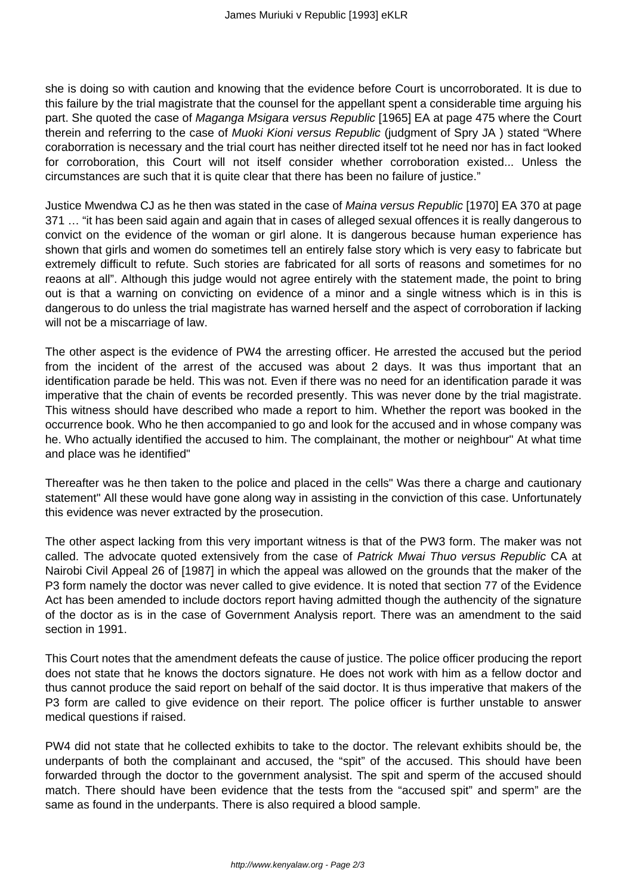she is doing so with caution and knowing that the evidence before Court is uncorroborated. It is due to this failure by the trial magistrate that the counsel for the appellant spent a considerable time arguing his part. She quoted the case of Maganga Msigara versus Republic [1965] EA at page 475 where the Court therein and referring to the case of Muoki Kioni versus Republic (judgment of Spry JA) stated "Where coraborration is necessary and the trial court has neither directed itself tot he need nor has in fact looked for corroboration, this Court will not itself consider whether corroboration existed... Unless the circumstances are such that it is quite clear that there has been no failure of justice."

Justice Mwendwa CJ as he then was stated in the case of Maina versus Republic [1970] EA 370 at page 371 … "it has been said again and again that in cases of alleged sexual offences it is really dangerous to convict on the evidence of the woman or girl alone. It is dangerous because human experience has shown that girls and women do sometimes tell an entirely false story which is very easy to fabricate but extremely difficult to refute. Such stories are fabricated for all sorts of reasons and sometimes for no reaons at all". Although this judge would not agree entirely with the statement made, the point to bring out is that a warning on convicting on evidence of a minor and a single witness which is in this is dangerous to do unless the trial magistrate has warned herself and the aspect of corroboration if lacking will not be a miscarriage of law.

The other aspect is the evidence of PW4 the arresting officer. He arrested the accused but the period from the incident of the arrest of the accused was about 2 days. It was thus important that an identification parade be held. This was not. Even if there was no need for an identification parade it was imperative that the chain of events be recorded presently. This was never done by the trial magistrate. This witness should have described who made a report to him. Whether the report was booked in the occurrence book. Who he then accompanied to go and look for the accused and in whose company was he. Who actually identified the accused to him. The complainant, the mother or neighbour" At what time and place was he identified"

Thereafter was he then taken to the police and placed in the cells" Was there a charge and cautionary statement" All these would have gone along way in assisting in the conviction of this case. Unfortunately this evidence was never extracted by the prosecution.

The other aspect lacking from this very important witness is that of the PW3 form. The maker was not called. The advocate quoted extensively from the case of Patrick Mwai Thuo versus Republic CA at Nairobi Civil Appeal 26 of [1987] in which the appeal was allowed on the grounds that the maker of the P3 form namely the doctor was never called to give evidence. It is noted that section 77 of the Evidence Act has been amended to include doctors report having admitted though the authencity of the signature of the doctor as is in the case of Government Analysis report. There was an amendment to the said section in 1991.

This Court notes that the amendment defeats the cause of justice. The police officer producing the report does not state that he knows the doctors signature. He does not work with him as a fellow doctor and thus cannot produce the said report on behalf of the said doctor. It is thus imperative that makers of the P3 form are called to give evidence on their report. The police officer is further unstable to answer medical questions if raised.

PW4 did not state that he collected exhibits to take to the doctor. The relevant exhibits should be, the underpants of both the complainant and accused, the "spit" of the accused. This should have been forwarded through the doctor to the government analysist. The spit and sperm of the accused should match. There should have been evidence that the tests from the "accused spit" and sperm" are the same as found in the underpants. There is also required a blood sample.